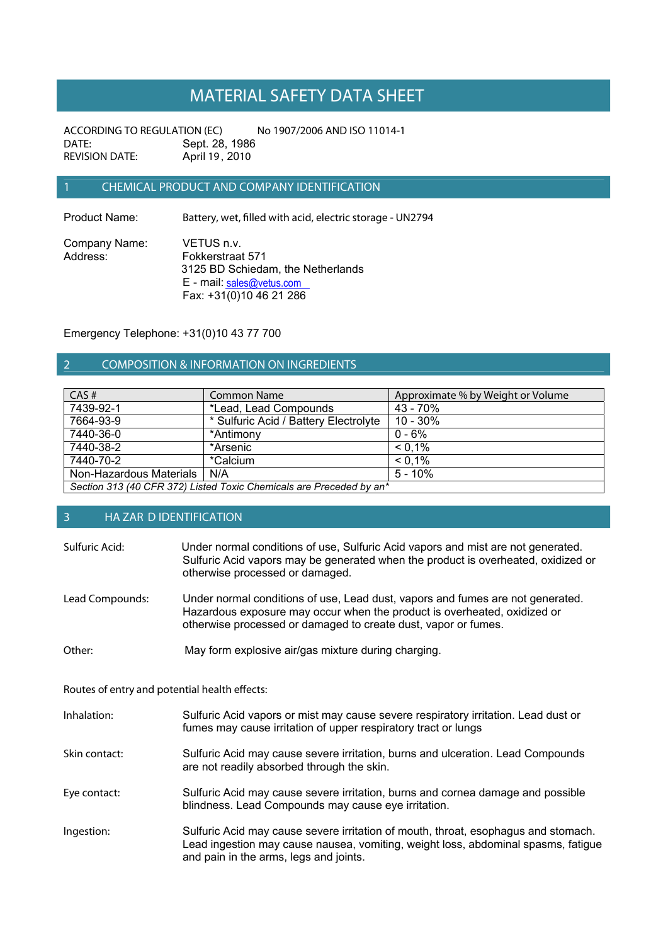# **MATERIAL SAFETY DATA SHEET**

**ACCORDING TO REGULATION (EC) No 1907/2006 AND ISO 11014-1 DATE:** Sept. 28, 1986 **REVISION DATE:** April 19, 2010

# **1 CHEMICAL PRODUCT AND COMPANY IDENTIFICATION**

Product Name: **Battery, wet, filled** with acid, electric storage - UN2794

Company Name: VETUS n.v.<br>Address: Fokkerstraat Fokkerstraat 571 3125 BD Schiedam, the Netherlands E - mail: sales@vetus.com Fax: +31(0)10 46 21 286

Emergency Telephone: +31(0)10 43 77 700

# **2 COMPOSITION & INFORMATION ON INGREDIENTS**

| CAS#                                                                | Common Name                           | Approximate % by Weight or Volume |
|---------------------------------------------------------------------|---------------------------------------|-----------------------------------|
| 7439-92-1                                                           | *Lead, Lead Compounds                 | 43 - 70%                          |
| 7664-93-9                                                           | * Sulfuric Acid / Battery Electrolyte | $10 - 30\%$                       |
| 7440-36-0                                                           | *Antimony                             | $0 - 6%$                          |
| 7440-38-2                                                           | *Arsenic                              | $< 0.1\%$                         |
| 7440-70-2                                                           | *Calcium                              | $< 0.1\%$                         |
| Non-Hazardous Materials                                             | N/A                                   | $5 - 10%$                         |
| Section 212 (40 CED 272) Listed Toxis Chamicals are Preseded by an* |                                       |                                   |

*Section 313 (40 CFR 372) Listed Toxic Chemicals are Preceded by an\**

# **3 HA ZAR D IDENTIFICATION**

| Sulfuric Acid:                                | Under normal conditions of use, Sulfuric Acid vapors and mist are not generated.<br>Sulfuric Acid vapors may be generated when the product is overheated, oxidized or<br>otherwise processed or damaged.                     |
|-----------------------------------------------|------------------------------------------------------------------------------------------------------------------------------------------------------------------------------------------------------------------------------|
| Lead Compounds:                               | Under normal conditions of use, Lead dust, vapors and fumes are not generated.<br>Hazardous exposure may occur when the product is overheated, oxidized or<br>otherwise processed or damaged to create dust, vapor or fumes. |
| Other:                                        | May form explosive air/gas mixture during charging.                                                                                                                                                                          |
| Routes of entry and potential health effects: |                                                                                                                                                                                                                              |
| Inhalation:                                   | Sulfuric Acid vapors or mist may cause severe respiratory irritation. Lead dust or<br>fumes may cause irritation of upper respiratory tract or lungs                                                                         |
| Skin contact:                                 | Sulfuric Acid may cause severe irritation, burns and ulceration. Lead Compounds<br>are not readily absorbed through the skin.                                                                                                |
| Eye contact:                                  | Sulfuric Acid may cause severe irritation, burns and cornea damage and possible<br>blindness. Lead Compounds may cause eye irritation.                                                                                       |
| Ingestion:                                    | Sulfuric Acid may cause severe irritation of mouth, throat, esophagus and stomach.<br>Lead ingestion may cause nausea, vomiting, weight loss, abdominal spasms, fatigue<br>and pain in the arms, legs and joints.            |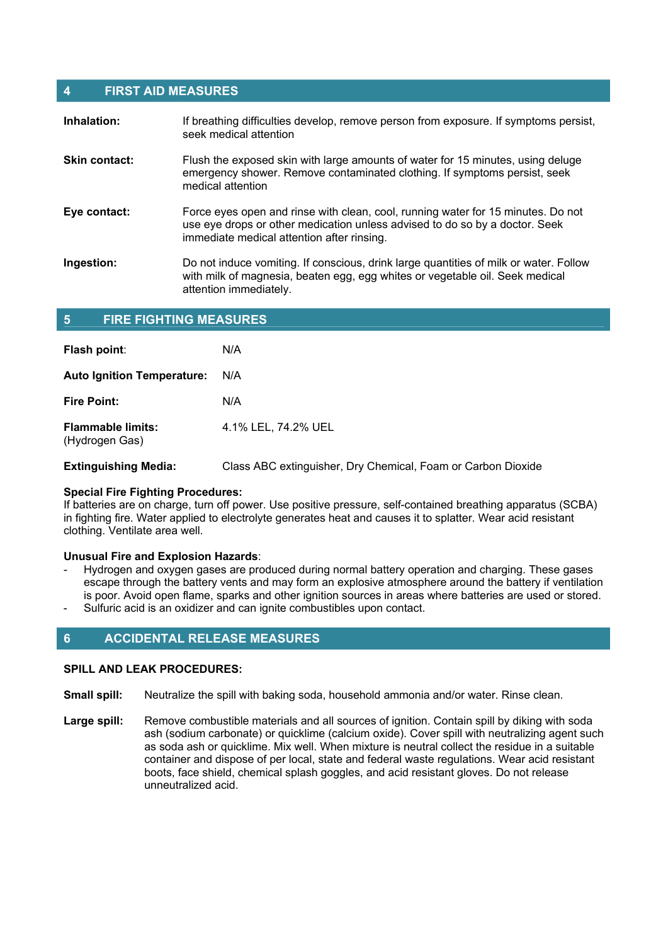# **4 FIRST AID MEASURES**

| Inhalation:          | If breathing difficulties develop, remove person from exposure. If symptoms persist,<br>seek medical attention                                                                                                |
|----------------------|---------------------------------------------------------------------------------------------------------------------------------------------------------------------------------------------------------------|
| <b>Skin contact:</b> | Flush the exposed skin with large amounts of water for 15 minutes, using deluge<br>emergency shower. Remove contaminated clothing. If symptoms persist, seek<br>medical attention                             |
| Eye contact:         | Force eyes open and rinse with clean, cool, running water for 15 minutes. Do not<br>use eye drops or other medication unless advised to do so by a doctor. Seek<br>immediate medical attention after rinsing. |
| Ingestion:           | Do not induce vomiting. If conscious, drink large quantities of milk or water. Follow<br>with milk of magnesia, beaten egg, egg whites or vegetable oil. Seek medical<br>attention immediately.               |

| 5<br><b>FIRE FIGHTING MEASURES</b>         |                                                              |  |
|--------------------------------------------|--------------------------------------------------------------|--|
| Flash point:                               | N/A                                                          |  |
| <b>Auto Ignition Temperature:</b>          | N/A                                                          |  |
| <b>Fire Point:</b>                         | N/A                                                          |  |
| <b>Flammable limits:</b><br>(Hydrogen Gas) | 4.1% LEL, 74.2% UEL                                          |  |
| <b>Extinguishing Media:</b>                | Class ABC extinguisher, Dry Chemical, Foam or Carbon Dioxide |  |

#### **Special Fire Fighting Procedures:**

If batteries are on charge, turn off power. Use positive pressure, self-contained breathing apparatus (SCBA) in fighting fire. Water applied to electrolyte generates heat and causes it to splatter. Wear acid resistant clothing. Ventilate area well.

#### **Unusual Fire and Explosion Hazards**:

- Hydrogen and oxygen gases are produced during normal battery operation and charging. These gases escape through the battery vents and may form an explosive atmosphere around the battery if ventilation is poor. Avoid open flame, sparks and other ignition sources in areas where batteries are used or stored.
- Sulfuric acid is an oxidizer and can ignite combustibles upon contact.

# **6 ACCIDENTAL RELEASE MEASURES**

### **SPILL AND LEAK PROCEDURES:**

- **Small spill:** Neutralize the spill with baking soda, household ammonia and/or water. Rinse clean.
- Large spill: Remove combustible materials and all sources of ignition. Contain spill by diking with soda ash (sodium carbonate) or quicklime (calcium oxide). Cover spill with neutralizing agent such as soda ash or quicklime. Mix well. When mixture is neutral collect the residue in a suitable container and dispose of per local, state and federal waste regulations. Wear acid resistant boots, face shield, chemical splash goggles, and acid resistant gloves. Do not release unneutralized acid.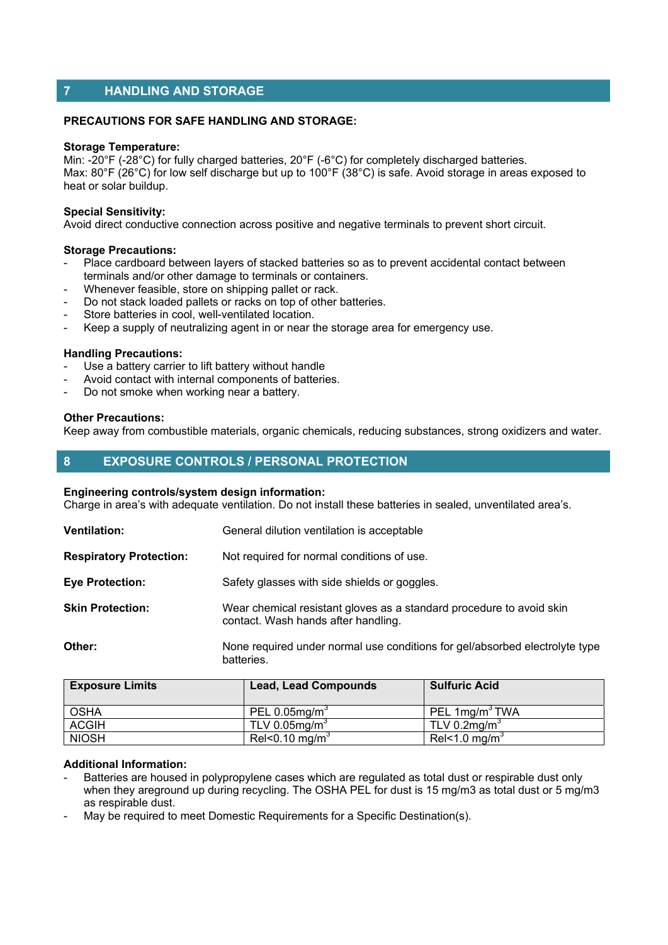# **7 HANDLING AND STORAGE**

### **PRECAUTIONS FOR SAFE HANDLING AND STORAGE:**

### **Storage Temperature:**

Min: -20°F (-28°C) for fully charged batteries, 20°F (-6°C) for completely discharged batteries. Max: 80°F (26°C) for low self discharge but up to 100°F (38°C) is safe. Avoid storage in areas exposed to heat or solar buildup.

### **Special Sensitivity:**

Avoid direct conductive connection across positive and negative terminals to prevent short circuit.

### **Storage Precautions:**

- Place cardboard between layers of stacked batteries so as to prevent accidental contact between terminals and/or other damage to terminals or containers.
- Whenever feasible, store on shipping pallet or rack.<br>- Do not stack loaded pallets or racks on top of other
- Do not stack loaded pallets or racks on top of other batteries.
- Store batteries in cool, well-ventilated location.
- Keep a supply of neutralizing agent in or near the storage area for emergency use.

### **Handling Precautions:**

- Use a battery carrier to lift battery without handle
- Avoid contact with internal components of batteries.
- Do not smoke when working near a battery.

#### **Other Precautions:**

Keep away from combustible materials, organic chemicals, reducing substances, strong oxidizers and water.

# **8 EXPOSURE CONTROLS / PERSONAL PROTECTION**

#### **Engineering controls/system design information:**

Charge in area's with adequate ventilation. Do not install these batteries in sealed, unventilated area's.

| <b>Ventilation:</b>            | General dilution ventilation is acceptable                                                                  |
|--------------------------------|-------------------------------------------------------------------------------------------------------------|
| <b>Respiratory Protection:</b> | Not required for normal conditions of use.                                                                  |
| <b>Eye Protection:</b>         | Safety glasses with side shields or goggles.                                                                |
| <b>Skin Protection:</b>        | Wear chemical resistant gloves as a standard procedure to avoid skin<br>contact. Wash hands after handling. |
| Other:                         | None required under normal use conditions for gel/absorbed electrolyte type<br>batteries.                   |

| <b>Exposure Limits</b> | <b>Lead, Lead Compounds</b>  | <b>Sulfuric Acid</b>        |
|------------------------|------------------------------|-----------------------------|
| <b>OSHA</b>            | PEL $0.05$ mg/m <sup>3</sup> | PEL 1mg/m <sup>3</sup> TWA  |
| <b>ACGIH</b>           | TLV $0.05$ mg/m <sup>3</sup> | TLV $0.2$ mg/m <sup>3</sup> |
| <b>NIOSH</b>           | Rel<0.10 mg/m <sup>3</sup>   | Rel<1.0 mg/m <sup>3</sup>   |

#### **Additional Information:**

- Batteries are housed in polypropylene cases which are regulated as total dust or respirable dust only when they areground up during recycling. The OSHA PEL for dust is 15 mg/m3 as total dust or 5 mg/m3 as respirable dust.
- May be required to meet Domestic Requirements for a Specific Destination(s).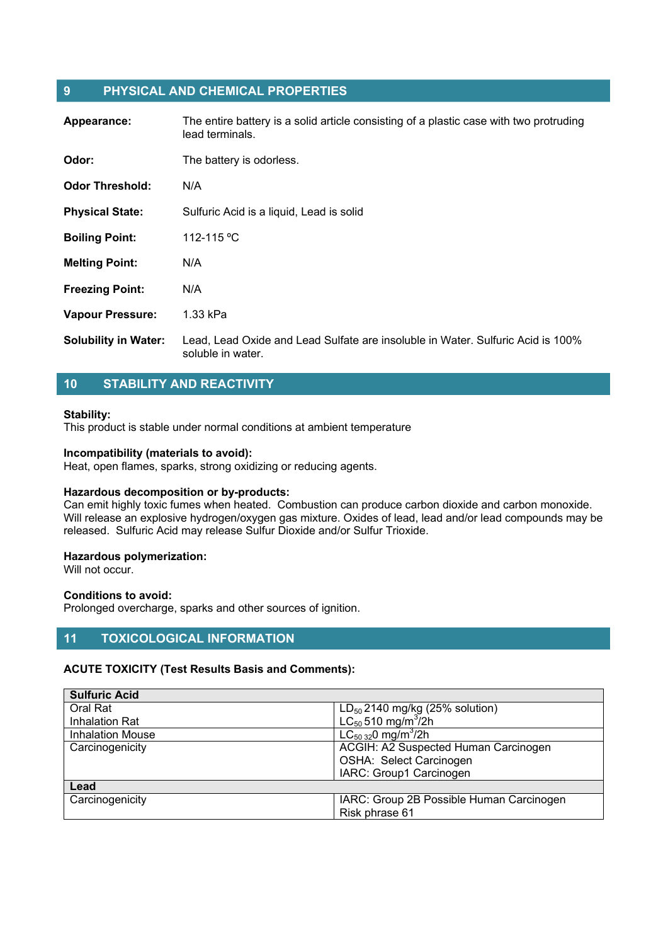# **9 PHYSICAL AND CHEMICAL PROPERTIES**

| Appearance:                 | The entire battery is a solid article consisting of a plastic case with two protruding<br>lead terminals. |
|-----------------------------|-----------------------------------------------------------------------------------------------------------|
| Odor:                       | The battery is odorless.                                                                                  |
| <b>Odor Threshold:</b>      | N/A                                                                                                       |
| <b>Physical State:</b>      | Sulfuric Acid is a liquid, Lead is solid                                                                  |
| <b>Boiling Point:</b>       | 112-115 °C                                                                                                |
| <b>Melting Point:</b>       | N/A                                                                                                       |
| <b>Freezing Point:</b>      | N/A                                                                                                       |
| <b>Vapour Pressure:</b>     | 1.33 kPa                                                                                                  |
| <b>Solubility in Water:</b> | Lead, Lead Oxide and Lead Sulfate are insoluble in Water. Sulfuric Acid is 100%<br>soluble in water.      |

# **10 STABILITY AND REACTIVITY**

### **Stability:**

This product is stable under normal conditions at ambient temperature

#### **Incompatibility (materials to avoid):**

Heat, open flames, sparks, strong oxidizing or reducing agents.

#### **Hazardous decomposition or by-products:**

Can emit highly toxic fumes when heated. Combustion can produce carbon dioxide and carbon monoxide. Will release an explosive hydrogen/oxygen gas mixture. Oxides of lead, lead and/or lead compounds may be released. Sulfuric Acid may release Sulfur Dioxide and/or Sulfur Trioxide.

#### **Hazardous polymerization:**

Will not occur.

#### **Conditions to avoid:**

Prolonged overcharge, sparks and other sources of ignition.

# **11 TOXICOLOGICAL INFORMATION**

### **ACUTE TOXICITY (Test Results Basis and Comments):**

| <b>Sulfuric Acid</b>    |                                                                                          |
|-------------------------|------------------------------------------------------------------------------------------|
| Oral Rat                |                                                                                          |
| Inhalation Rat          | LD <sub>50</sub> 2140 mg/kg (25% solution)<br>LC <sub>50</sub> 510 mg/m <sup>3</sup> /2h |
| <b>Inhalation Mouse</b> | $LC_{50,32}$ 0 mg/m <sup>3</sup> /2h                                                     |
| Carcinogenicity         | ACGIH: A2 Suspected Human Carcinogen                                                     |
|                         | OSHA: Select Carcinogen                                                                  |
|                         | IARC: Group1 Carcinogen                                                                  |
| Lead                    |                                                                                          |
| Carcinogenicity         | IARC: Group 2B Possible Human Carcinogen                                                 |
|                         | Risk phrase 61                                                                           |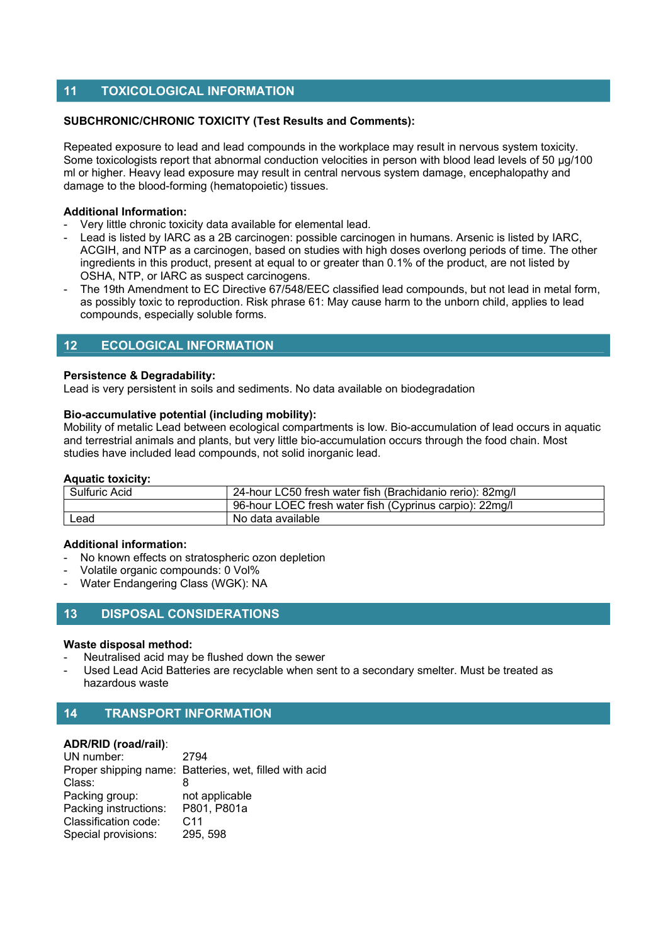# **11 TOXICOLOGICAL INFORMATION**

### **SUBCHRONIC/CHRONIC TOXICITY (Test Results and Comments):**

Repeated exposure to lead and lead compounds in the workplace may result in nervous system toxicity. Some toxicologists report that abnormal conduction velocities in person with blood lead levels of 50 µg/100 ml or higher. Heavy lead exposure may result in central nervous system damage, encephalopathy and damage to the blood-forming (hematopoietic) tissues.

### **Additional Information:**

- Very little chronic toxicity data available for elemental lead.
- Lead is listed by IARC as a 2B carcinogen: possible carcinogen in humans. Arsenic is listed by IARC, ACGIH, and NTP as a carcinogen, based on studies with high doses overlong periods of time. The other ingredients in this product, present at equal to or greater than 0.1% of the product, are not listed by OSHA, NTP, or IARC as suspect carcinogens.
- The 19th Amendment to EC Directive 67/548/EEC classified lead compounds, but not lead in metal form, as possibly toxic to reproduction. Risk phrase 61: May cause harm to the unborn child, applies to lead compounds, especially soluble forms.

# **12 ECOLOGICAL INFORMATION**

### **Persistence & Degradability:**

Lead is very persistent in soils and sediments. No data available on biodegradation

### **Bio-accumulative potential (including mobility):**

Mobility of metalic Lead between ecological compartments is low. Bio-accumulation of lead occurs in aquatic and terrestrial animals and plants, but very little bio-accumulation occurs through the food chain. Most studies have included lead compounds, not solid inorganic lead.

### **Aquatic toxicity:**

| <b>Sulfuric Acid</b> | 24-hour LC50 fresh water fish (Brachidanio rerio): 82mg/l |
|----------------------|-----------------------------------------------------------|
|                      | 96-hour LOEC fresh water fish (Cyprinus carpio): 22mg/l   |
| Lead                 | No data available                                         |

#### **Additional information:**

- No known effects on stratospheric ozon depletion
- Volatile organic compounds: 0 Vol%
- Water Endangering Class (WGK): NA

# **13 DISPOSAL CONSIDERATIONS**

#### **Waste disposal method:**

- Neutralised acid may be flushed down the sewer
- Used Lead Acid Batteries are recyclable when sent to a secondary smelter. Must be treated as hazardous waste

# **14 TRANSPORT INFORMATION**

### **ADR/RID (road/rail)**:

| UN number:            | 2794                                                   |
|-----------------------|--------------------------------------------------------|
|                       | Proper shipping name: Batteries, wet, filled with acid |
| Class:                |                                                        |
| Packing group:        | not applicable                                         |
| Packing instructions: | P801, P801a                                            |
| Classification code:  | C <sub>11</sub>                                        |
| Special provisions:   | 295, 598                                               |